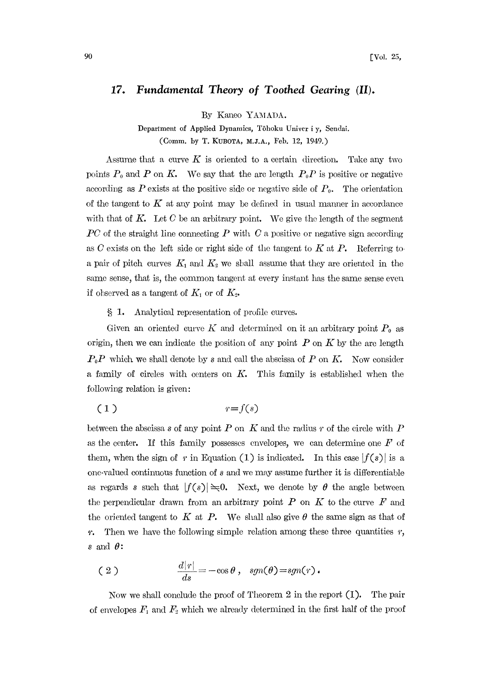## 17. Fundamental Theory of Toothed Gearing (II).

By Kaneo YAMADA.

Department of Applied Dynamics, Tôhoku Univer i y, Sendai. (Comm. by T. KUBOTA, M.J.A., Feb. 12, 1949.)

Assume that a curve  $K$  is oriented to a certain direction. Take any two points  $P_0$  and  $P$  on  $K$ . We say that the arc length  $P_0P$  is positive or negative according as P exists at the positive side or negative side of  $P_0$ . The orientation of the tangent to  $K$  at any point may be defined in usual manner in accordance with that of  $K$ . Let  $C$  be an arbitrary point. We give the length of the segment  $PC$  of the straight line connecting P with C a positive or negative sign according as  $C$  exists on the left side or right side of the tangent to  $K$  at  $P$ . Referring to a pair of pitch curves  $K_1$  and  $K_2$  we shall assume that they are oriented in the same sense, that is, the common tangent at every instant has the same sense even if observed as a tangent of  $K_1$  or of  $K_2$ .

1. Analytical representation of profile curves.

Given an oriented curve  $K$  and determined on it an arbitrary point  $P_0$  as origin, then we can indicate the position of any point  $P$  on  $K$  by the arc length  $P_0P$  which we shall denote by s and call the abscissa of P on K. Now consider a family of circles with centers on  $K$ . This family is established when the following relation is given:

$$
(1) \t\t\t r=f(s)
$$

between the abscissa s of any point P on K and the radius r of the circle with P as the center. If this family possesses envelopes, we can determine one  $F$  of them, when the sign of r in Equation (1) is indicated. In this case  $|f(s)|$  is a one-valued contimous function of <sup>s</sup> and we may assume further it is differentiable as regards s such that  $|f(s)| \ge 0$ . Next, we denote by  $\theta$  the angle between the perpendicular drawn from an arbitrary point  $P$  on  $K$  to the curve  $F$  and the oriented tangent to K at P. We shall also give  $\theta$  the same sign as that of  $r$ . Then we have the following simple relation among these three quantities  $r$ , s and  $\theta$ :

(2) 
$$
\frac{d[r]}{ds} = -\cos\theta, \quad sgn(\theta) = sgn(r).
$$

Now we shall conclude the proof of Theorem 2 in the report (I). The pair of envelopes  $F_1$  and  $F_2$  which we already determined in the first half of the proof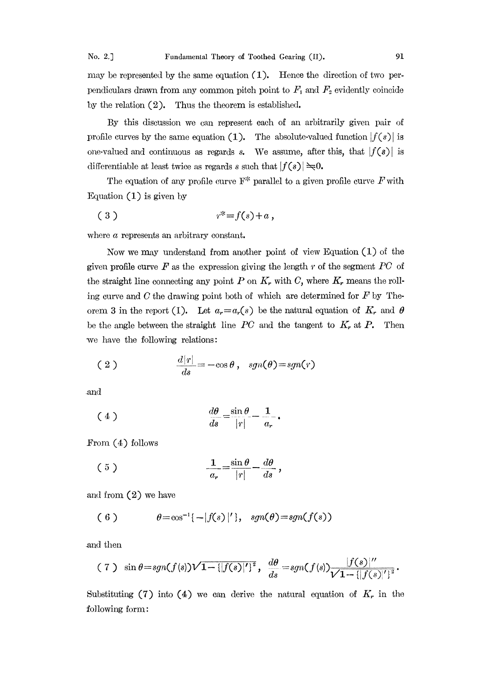may be represented by the same equation  $(1)$ . Hence the direction of two perpendiculars drawn from any common pitch point to  $F_1$  and  $F_2$  evidently coincide by the relation  $(2)$ . Thus the theorem is established.

By this discussion we can represent each of an arbitrarily given pair of profile curves by the same equation (1). The absolute-valued function  $|f(s)|$  is one-valued and continuous as regards s. We assume, after this, that  $|f(s)|$  is differentiable at least twice as regards s such that  $|f(s)| \geq 0$ .

The equation of any profile curve  $\mathbb{F}^*$  parallel to a given profile curve  $F$  with Equation  $(1)$  is given by

( 3 ) +.,

where  $\alpha$  represents an arbitrary constant.

Now we may mderstand from another point of view Equation (1) of the given profile curve  $\boldsymbol{F}$  as the expression giving the length  $r$  of the segment  $\boldsymbol{P}\boldsymbol{C}$  of the straight line connecting any point  $P$  on  $K_r$  with  $C$ , where  $K_r$  means the rolling curve and C the drawing point both of which are determined for  $F$  by Theorem 3 in the report (I). Let  $a_r = a_r(s)$  be the natural equation of  $K_r$  and  $\theta$ be the angle between the straight line  $PC$  and the tangent to  $K_r$  at  $P$ . Then ve have the following relations:

(2) 
$$
\frac{d|r|}{ds} = -\cos\theta, \quad sgn(\theta) = sgn(r)
$$

and

$$
\frac{d\theta}{ds} = \frac{\sin \theta}{|r|} - \frac{1}{a_r}.
$$

From  $(4)$  follows

$$
\frac{1}{a_r} = \frac{\sin \theta}{|r|} - \frac{d\theta}{ds},
$$

and from (2) we have

(6) 
$$
\theta = \cos^{-1}\{-|f(s)|'\}, \quad \text{sgn}(\theta) = \text{sgn}(f(s))
$$

.and then

(7) 
$$
\sin \theta = sgn(f(s))\sqrt{1 - {[f(s)]'}}
$$
,  $\frac{d\theta}{ds} = sgn(f(s))\frac{|f(s)|''}{\sqrt{1 - {[f(s)]'}}$ .

Substituting (7) into (4) we can derive the natural equation of  $K_r$  in the following form: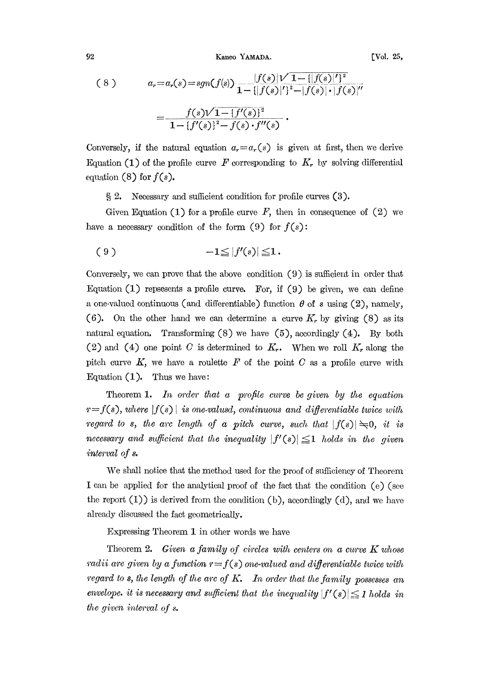92 Kaneo YAMADA. [Vol. 25,

$$
(8) \t a_r = a_r(s) = sgn(f(s)) \frac{|f(s)|^{\prime} 1 - {||f(s)|'}^2}{1 - {||f(s)|'}^2 - |f(s)| \cdot |f(s)|''}
$$

$$
= \frac{f(s)\sqrt{1 - {f'(s)}^2}}{1 - {f'(s)}^2 - f(s) \cdot f''(s)}.
$$

Conversely, if the natural equation  $a_r = a_r(s)$  is given at first, then we derive Equation (1) of the profile curve F corresponding to  $K_r$  by solving differential equation (8) for  $f(s)$ .

2. Necessary and sufficient condition for profile curves (3).

Given Equation (1) for a profile curve  $F$ , then in consequence of (2) we have a necessary condition of the form  $(9)$  for  $f(s)$ :

$$
(9) \t -1 \leq |f'(s)| \leq 1.
$$

Conversely, we can prove that the above condition (9) is sufficient in order that Equation  $(1)$  repsesents a profile curve. For, if  $(9)$  be given, we can define a one-valued continuous (and differentiable) function  $\theta$  of s using (2), namely, (6). On the other hand we can determine a curve  $K_r$  by giving (8) as its natural equation. Transforming  $(8)$  we have  $(5)$ , accordingly  $(4)$ . By both (2) and (4) one point C is determined to  $K_r$ . When we roll  $K_r$  along the pitch curve  $K$ , we have a roulette  $F$  of the point  $C$  as a profile curve with  $\text{F}$  constitution  $(1)$ . Thus we have: Equation  $(1)$ . Thus we have:

Theorem 1. In order that a profile curve be given by the equation  $r=f(s)$ , where  $|f(s)|$  is one-valusd, continuous and differentiable twice with regard to s, the arc length of a pitch curve, such that  $|f(s)| \geq 0$ , it is necessary and sufficient that the inequality  $|f'(s)| \leq 1$  holds in the given interval of s.

We shall notice that the method used for the proof of sufficiency of Theorem I can be applied for the analytical proof of the fact that the condition (e) (see the report  $(I)$ ) is derived from the condition  $(b)$ , accordingly  $(d)$ , and we have already discussed the fact geometrically.

Expressing Theorem 1 in other words we have

Theorem 2. Given a family of circles with centers on a curve  $K$  whose radii are given by a function  $r=f(s)$  one-valued and differentiable twice with regard to s, the length of the arc of  $K$ . In order that the family possesses an envelope, it is necessary and sufficient that the inequality  $|f'(s)| \leq 1$  holds in the given interval of s.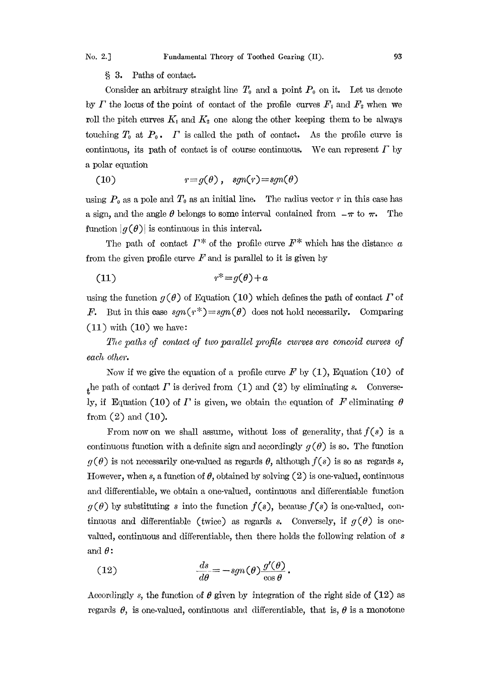3. Paths of contact.

Consider an arbitrary straight line  $T_0$  and a point  $P_0$  on it. Let us denote by  $\Gamma$  the locus of the point of contact of the profile curves  $F_1$  and  $F_2$  when we roll the pitch curves  $K_1$  and  $K_2$  one along the other keeping them to be always touching  $T_0$  at  $P_0$ .  $\Gamma$  is called the path of contact. As the profile curve is continuous, its path of contact is of course continuous. We can represent  $\Gamma$  by a polar equation

(10) 
$$
r = g(\theta), \quad sgn(r) = sgn(\theta)
$$

using  $P_0$  as a pole and  $T_0$  as an initial line. The radius vector r in this case has a sign, and the angle  $\theta$  belongs to some interval contained from  $-\pi$  to  $\pi$ . The function  $|g(\theta)|$  is continuous in this interval. function  $|g(\theta)|$  is continuous in this interval.

The path of contact  $\Gamma^*$  of the profile curve  $F^*$  which has the distance  $\alpha$ from the given profile curve  $F$  and is parallel to it is given by

$$
(11) \t\t\t r^* = g(\theta) + a
$$

using the function  $g(\theta)$  of Equation (10) which defines the path of contact  $\Gamma$  of *F.* But in this case  $sgn(r^*)=sgn(\theta)$  does not hold necessarily. Comparing  $(11)$  with  $(10)$  we have:

The paths of contact of two parallel profile cwrves are concoid curves of each other.

Now if we give the equation of a profile curve  $F$  by  $(1)$ , Equation  $(10)$  of the path of contact  $\Gamma$  is derived from (1) and (2) by eliminating s. Conversely, if Equation (10) of  $\Gamma$  is given, we obtain the equation of  $F$  eliminating  $\theta$ from  $(2)$  and  $(10)$ .

From now on we shall assume, without loss of generality, that  $f(s)$  is a continuous function with a definite sign and accordingly  $g(\theta)$  is so. The function  $g(\theta)$  is not necessarily one-valued as regards  $\theta$ , although  $f(s)$  is so as regards s, However, when s, a function of  $\theta$ , obtained by solving (2) is one-valued, continuous and differentiable, we obtain a one-valued, continuous and differentiable function  $g(\theta)$  by substituting s into the function  $f(s)$ , because  $f(s)$  is one-valued, continuous and differentiable (twice) as regards s. Conversely, if  $g(\theta)$  is onevalued, continuous and differentiable, then there holds the following relation of s and  $\theta$ :

(12) 
$$
\frac{ds}{d\theta} = -sgn(\theta) \frac{g'(\theta)}{\cos \theta}.
$$

Accordingly s, the function of  $\theta$  given by integration of the right side of (12) as regards  $\theta$ , is one-valued, continuous and differentiable, that is,  $\theta$  is a monotone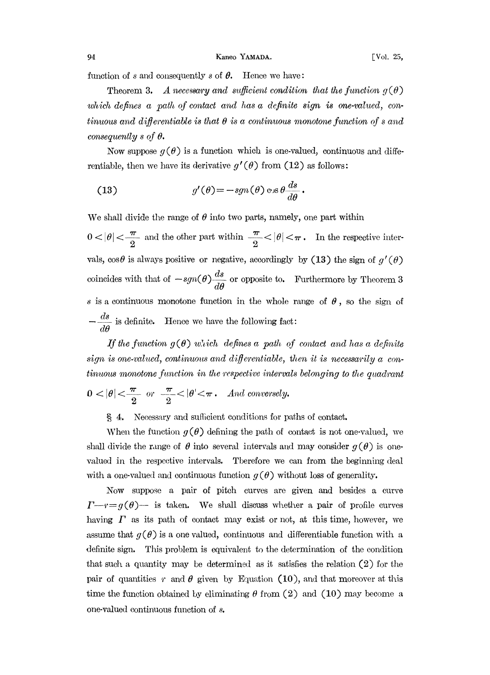function of  $s$  and consequently  $s$  of  $\theta$ . Hence we have:

Theorem 3. A necessary and sufficient condition that the function  $g(\theta)$ which defines a path of contact and has a definite sign is one-valued, continuous and differentiable is that  $\theta$  is a continuous monotone function of s and consequently  $s$  of  $\theta$ .

Now suppose  $q(\theta)$  is a function which is one-valued, continuous and differentiable, then we have its derivative  $g'(\theta)$  from (12) as follows:

(13) 
$$
g'(\theta) = -sgn(\theta) \cos \theta \frac{ds}{d\theta}.
$$

We shall divide the range of  $\theta$  into two parts, namely, one part within

We shall divide the range of  $\theta$  into two parts, namely, one part within  $0 < |\theta| < \frac{\pi}{2}$  and the other part within  $\frac{\pi}{2} < |\theta| < \pi$ . In the respective intervals,  $\cos\theta$  is always positive or negative, accordingly by (13) the sign of  $g'(\theta)$ coincides with that of  $-sgn(\theta)\frac{ds}{d\theta}$  or opposite to. Furthermore by Theorem 3 s is a continuous monotone function in the whole range of  $\theta$ , so the sign of  $\frac{d\omega}{dx}$  is definite. Hence we have the following fact:  $d\boldsymbol{\theta}$ 

If the function  $g(\theta)$  which defines a path of contact and has a definite sign is one-valued, continuous and differentiable, then it is necessarily a con $tinuous\ monotone\ function\ in\ the\ respective\ intervals\ belonging\ to\ the\ quadrant$ 

$$
0 < |\theta| < \frac{\pi}{2} \quad \text{or} \quad \frac{\pi}{2} < |\theta| < \pi. \quad And \text{ conversely.}
$$
\n
$$
\text{§ 4. Necessary and sufficient conditions for paths of contact.}
$$

When the function  $g(\theta)$  defining the path of contact is not one-valued, we shall divide the range of  $\theta$  into several intervals and may consider  $q(\theta)$  is onevalued in the respective intervals. Tberefore we can from the beginning deal with a one-valued and continuous function  $g(\theta)$  without loss of generality.

Now suppose a pair of pitch curves are given and besides a curve  $T-r=g(\theta)$  is taken. We shall discuss whether a pair of profile curves having  $\Gamma$  as its path of contact may exist or not, at this time, however, we assume that  $q(\theta)$  is a one valued, continuous and differentiable function with a definite sign. This problem is equivalent to the determination of the condition that such a quantity may be determined as it satisfies the relation (2) for the pair of quantities r and  $\theta$  given by Equation (10), and that moreover at this time the function obtained by eliminating  $\theta$  from (2) and (10) may become a one-valued continuous function of s.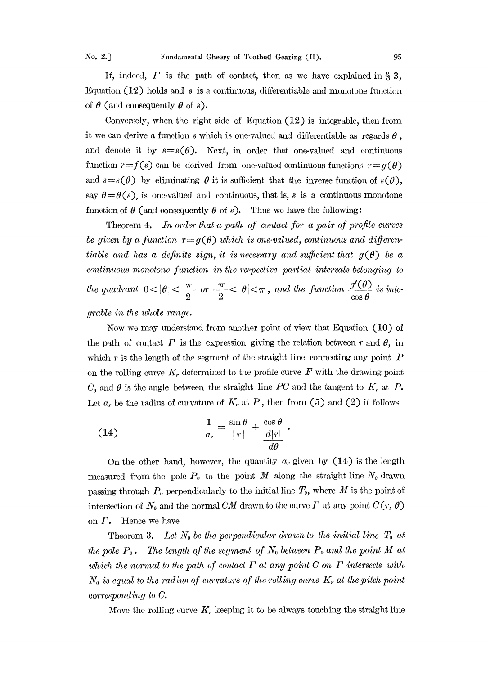If, indeed,  $\Gamma$  is the path of contact, then as we have explained in § 3, Equation  $(12)$  holds and s is a continuous, differentiable and monotone function of  $\theta$  (and consequently  $\theta$  of s).

Conversely, when the right side of Equation (12) is integrable, then from it we can derive a function  $s$  which is one-valued and differentiable as regards  $\theta$ , and denote it by  $s=s(\theta)$ . Next, in order that one-valued and continuous function  $r=f(s)$  can be derived from one-valued continuous functions  $r=g(\theta)$ and  $s=s(\theta)$  by eliminating  $\theta$  it is sufficient that the inverse function of  $s(\theta)$ , say  $\theta = \theta(s)$ , is one-valued and continuous, that is, s is a continuous monotone function of  $\theta$  (and consequently  $\theta$  of s). Thus we have the following:

Theorem 4. In order that a path of contact for a pair of profile curves be given by a function  $r = g(\theta)$  which is one-valued, continuous and differentiable and has a definite sign, it is necessary and sufficient that  $g(\theta)$  be a continuous monotone function in the respective partial intervals belonging to the quadrant  $0 < |\theta| < \frac{\pi}{2}$  or  $\frac{\pi}{2} < |\theta| < \pi$ , and the function  $\frac{g'(\theta)}{\cos \theta}$  is inte-

grable in the whole range.

Now we may understand from another point of view that Equation (10) of the path of contact  $\Gamma$  is the expression giving the relation between  $r$  and  $\theta$ , in which  $r$  is the length of the segment of the straight line connecting any point  $P$ on the rolling curve  $K_r$  determined to the profile curve  $F$  with the drawing point C, and  $\theta$  is the angle between the straight line PC and the tangent to  $K_r$  at P. Let  $a_r$  be the radius of curvature of  $K_r$ , at P, then from (5) and (2) it follows

(14) 
$$
\frac{1}{a_r} = \frac{\sin \theta}{|r|} + \frac{\cos \theta}{\frac{d|r|}{d\theta}}.
$$

On the other hand, however, the quantity  $a_r$  given by  $(14)$  is the length measured from the pole  $P_0$  to the point M along the straight line  $N_0$  drawn passing through  $P_0$  perpendicularly to the initial line  $T_0$ , where M is the point of intersection of  $N_0$  and the normal CM drawn to the curve  $\Gamma$  at any point  $C(r, \theta)$ on  $I'$ . Hence we have

Theorem 3. Let  $N_0$  be the perpendicular drawn to the initial line  $T_0$  at the pole  $P_0$ . The length of the segment of  $N_0$  between  $P_0$  and the point M at which the normal to the path of contact  $\Gamma$  at any point C on  $\Gamma$  intersects with  $N_0$  is equal to the radius of curvature of the rolling curve  $K_r$  at the pitch point corresponding to C.

Move the rolling curve  $K_r$  keeping it to be always touching the straight line